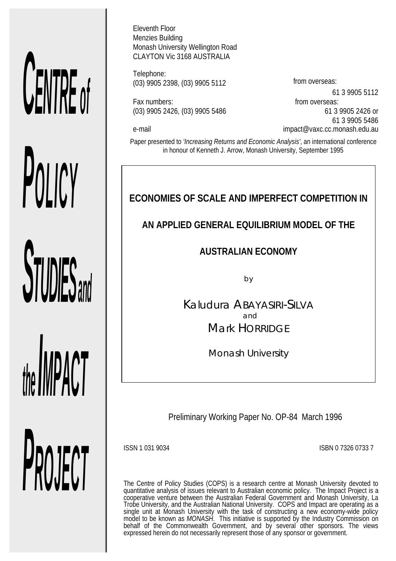# *CENTRE of*

*POLICY STUDIES and*

*the livil time* i

*PROJECT*

Eleventh Floor Menzies Building Monash University Wellington Road CLAYTON Vic 3168 AUSTRALIA

Telephone: (03) 9905 2398, (03) 9905 5112 from overseas:

Fax numbers: Fax numbers:

61 3 9905 5112 (03) 9905 2426, (03) 9905 5486 61 3 9905 2426 or 61 3 9905 5486 e-mail impact@vaxc.cc.monash.edu.au

 Paper presented to *'Increasing Returns and Economic Analysis'*, an international conference in honour of Kenneth J. Arrow, Monash University, September 1995

# **ECONOMIES OF SCALE AND IMPERFECT COMPETITION IN**

# **AN APPLIED GENERAL EQUILIBRIUM MODEL OF THE**

# **AUSTRALIAN ECONOMY**

by

Kaludura ABAYASIRI-SILVA and Mark HORRIDGE

*Monash University*

Preliminary Working Paper No. OP-84 March 1996

ISSN 1 031 9034 ISBN 0 7326 0733 7

The Centre of Policy Studies (COPS) is a research centre at Monash University devoted to quantitative analysis of issues relevant to Australian economic policy. The Impact Project is a cooperative venture between the Australian Federal Government and Monash University, La Trobe University, and the Australian National University. COPS and Impact are operating as a single unit at Monash University with the task of constructing a new economy-wide policy model to be known as *MONASH*. This initiative is supported by the Industry Commission on behalf of the Commonwealth Government, and by several other sponsors. The views expressed herein do not necessarily represent those of any sponsor or government.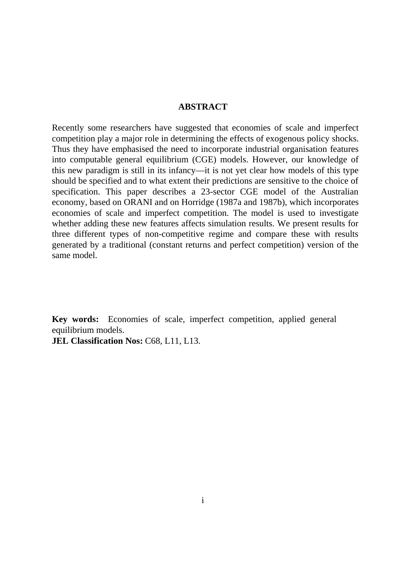#### **ABSTRACT**

Recently some researchers have suggested that economies of scale and imperfect competition play a major role in determining the effects of exogenous policy shocks. Thus they have emphasised the need to incorporate industrial organisation features into computable general equilibrium (CGE) models. However, our knowledge of this new paradigm is still in its infancy—it is not yet clear how models of this type should be specified and to what extent their predictions are sensitive to the choice of specification. This paper describes a 23-sector CGE model of the Australian economy, based on ORANI and on Horridge (1987a and 1987b), which incorporates economies of scale and imperfect competition. The model is used to investigate whether adding these new features affects simulation results. We present results for three different types of non-competitive regime and compare these with results generated by a traditional (constant returns and perfect competition) version of the same model.

**Key words:** Economies of scale, imperfect competition, applied general equilibrium models.

**JEL Classification Nos: C68, L11, L13.**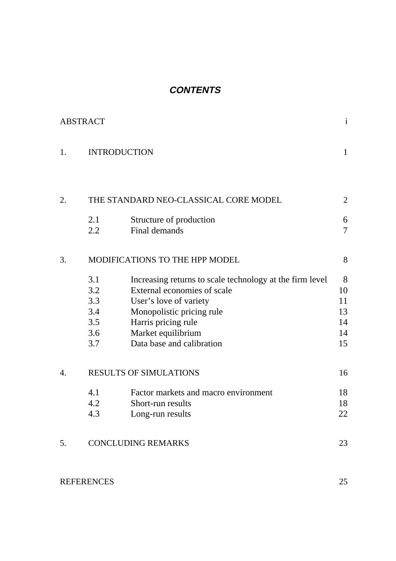# **CONTENTS**

|                  | <b>ABSTRACT</b>                               |                                                                                                                                                                                                                          | $\mathbf{i}$                          |
|------------------|-----------------------------------------------|--------------------------------------------------------------------------------------------------------------------------------------------------------------------------------------------------------------------------|---------------------------------------|
| 1.               |                                               | <b>INTRODUCTION</b>                                                                                                                                                                                                      | $\mathbf{1}$                          |
| 2.               |                                               | THE STANDARD NEO-CLASSICAL CORE MODEL                                                                                                                                                                                    | $\overline{2}$                        |
|                  | 2.1<br>2.2                                    | Structure of production<br>Final demands                                                                                                                                                                                 | 6<br>$\overline{7}$                   |
| 3.               |                                               | MODIFICATIONS TO THE HPP MODEL                                                                                                                                                                                           | 8                                     |
|                  | 3.1<br>3.2<br>3.3<br>3.4<br>3.5<br>3.6<br>3.7 | Increasing returns to scale technology at the firm level<br>External economies of scale<br>User's love of variety<br>Monopolistic pricing rule<br>Harris pricing rule<br>Market equilibrium<br>Data base and calibration | 8<br>10<br>11<br>13<br>14<br>14<br>15 |
| $\overline{4}$ . |                                               | <b>RESULTS OF SIMULATIONS</b>                                                                                                                                                                                            | 16                                    |
|                  | 4.1                                           | Factor markets and macro environment                                                                                                                                                                                     | 18                                    |
|                  | 4.2<br>4.3                                    | Short-run results<br>Long-run results                                                                                                                                                                                    | 18<br>22                              |
| 5.               |                                               | <b>CONCLUDING REMARKS</b>                                                                                                                                                                                                | 23                                    |

# REFERENCES 25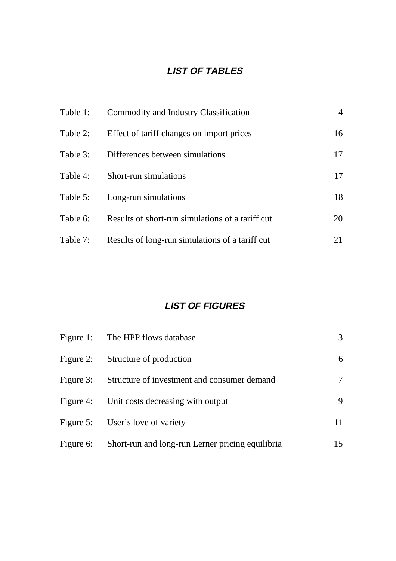# **LIST OF TABLES**

| Table 1: | Commodity and Industry Classification            | $\overline{4}$ |
|----------|--------------------------------------------------|----------------|
| Table 2: | Effect of tariff changes on import prices        | 16             |
| Table 3: | Differences between simulations                  | 17             |
| Table 4: | Short-run simulations                            | 17             |
| Table 5: | Long-run simulations                             | 18             |
| Table 6: | Results of short-run simulations of a tariff cut | 20             |
| Table 7: | Results of long-run simulations of a tariff cut  | 21             |

# **LIST OF FIGURES**

|           | Figure 1: The HPP flows database                 | 3  |
|-----------|--------------------------------------------------|----|
| Figure 2: | Structure of production                          | 6  |
| Figure 3: | Structure of investment and consumer demand      | 7  |
|           | Figure 4: Unit costs decreasing with output      | 9  |
|           | Figure 5: User's love of variety                 | 11 |
| Figure 6: | Short-run and long-run Lerner pricing equilibria | 15 |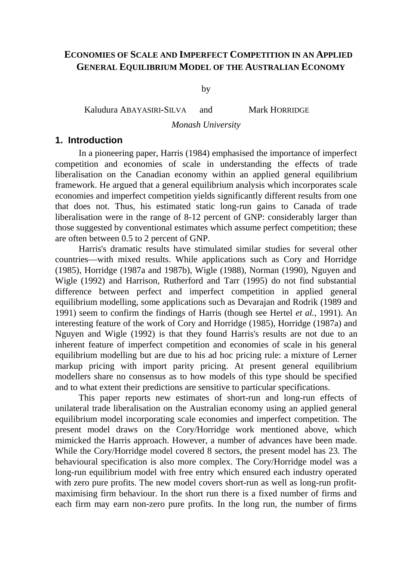# **ECONOMIES OF SCALE AND IMPERFECT COMPETITION IN AN APPLIED GENERAL EQUILIBRIUM MODEL OF THE AUSTRALIAN ECONOMY**

by

Kaludura ABAYASIRI-SILVA and Mark HORRIDGE

#### *Monash University*

## **1. Introduction**

In a pioneering paper, Harris (1984) emphasised the importance of imperfect competition and economies of scale in understanding the effects of trade liberalisation on the Canadian economy within an applied general equilibrium framework. He argued that a general equilibrium analysis which incorporates scale economies and imperfect competition yields significantly different results from one that does not. Thus, his estimated static long-run gains to Canada of trade liberalisation were in the range of 8-12 percent of GNP: considerably larger than those suggested by conventional estimates which assume perfect competition; these are often between 0.5 to 2 percent of GNP.

Harris's dramatic results have stimulated similar studies for several other countries—with mixed results. While applications such as Cory and Horridge (1985), Horridge (1987a and 1987b), Wigle (1988), Norman (1990), Nguyen and Wigle (1992) and Harrison, Rutherford and Tarr (1995) do not find substantial difference between perfect and imperfect competition in applied general equilibrium modelling, some applications such as Devarajan and Rodrik (1989 and 1991) seem to confirm the findings of Harris (though see Hertel *et al.*, 1991). An interesting feature of the work of Cory and Horridge (1985), Horridge (1987a) and Nguyen and Wigle (1992) is that they found Harris's results are not due to an inherent feature of imperfect competition and economies of scale in his general equilibrium modelling but are due to his ad hoc pricing rule: a mixture of Lerner markup pricing with import parity pricing. At present general equilibrium modellers share no consensus as to how models of this type should be specified and to what extent their predictions are sensitive to particular specifications.

This paper reports new estimates of short-run and long-run effects of unilateral trade liberalisation on the Australian economy using an applied general equilibrium model incorporating scale economies and imperfect competition. The present model draws on the Cory/Horridge work mentioned above, which mimicked the Harris approach. However, a number of advances have been made. While the Cory/Horridge model covered 8 sectors, the present model has 23. The behavioural specification is also more complex. The Cory/Horridge model was a long-run equilibrium model with free entry which ensured each industry operated with zero pure profits. The new model covers short-run as well as long-run profitmaximising firm behaviour. In the short run there is a fixed number of firms and each firm may earn non-zero pure profits. In the long run, the number of firms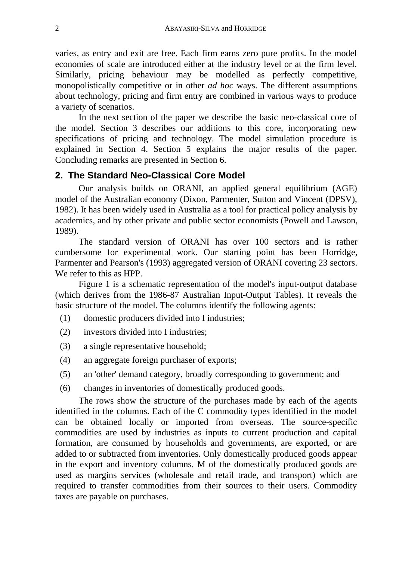varies, as entry and exit are free. Each firm earns zero pure profits. In the model economies of scale are introduced either at the industry level or at the firm level. Similarly, pricing behaviour may be modelled as perfectly competitive, monopolistically competitive or in other *ad hoc* ways. The different assumptions about technology, pricing and firm entry are combined in various ways to produce a variety of scenarios.

In the next section of the paper we describe the basic neo-classical core of the model. Section 3 describes our additions to this core, incorporating new specifications of pricing and technology. The model simulation procedure is explained in Section 4. Section 5 explains the major results of the paper. Concluding remarks are presented in Section 6.

## **2. The Standard Neo-Classical Core Model**

Our analysis builds on ORANI, an applied general equilibrium (AGE) model of the Australian economy (Dixon, Parmenter, Sutton and Vincent (DPSV), 1982). It has been widely used in Australia as a tool for practical policy analysis by academics, and by other private and public sector economists (Powell and Lawson, 1989).

The standard version of ORANI has over 100 sectors and is rather cumbersome for experimental work. Our starting point has been Horridge, Parmenter and Pearson's (1993) aggregated version of ORANI covering 23 sectors. We refer to this as HPP.

Figure 1 is a schematic representation of the model's input-output database (which derives from the 1986-87 Australian Input-Output Tables). It reveals the basic structure of the model. The columns identify the following agents:

- (1) domestic producers divided into I industries;
- (2) investors divided into I industries;
- (3) a single representative household;
- (4) an aggregate foreign purchaser of exports;
- (5) an 'other' demand category, broadly corresponding to government; and
- (6) changes in inventories of domestically produced goods.

The rows show the structure of the purchases made by each of the agents identified in the columns. Each of the C commodity types identified in the model can be obtained locally or imported from overseas. The source-specific commodities are used by industries as inputs to current production and capital formation, are consumed by households and governments, are exported, or are added to or subtracted from inventories. Only domestically produced goods appear in the export and inventory columns. M of the domestically produced goods are used as margins services (wholesale and retail trade, and transport) which are required to transfer commodities from their sources to their users. Commodity taxes are payable on purchases.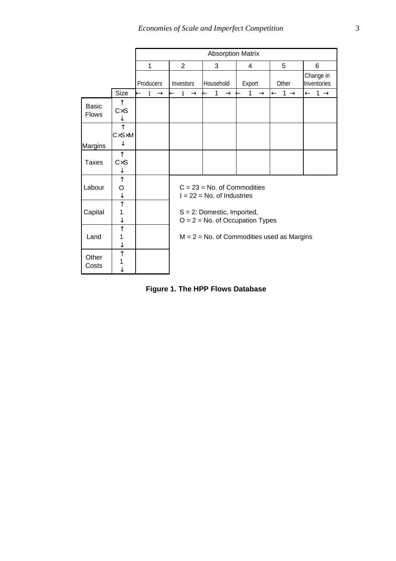|                              |               |                           | <b>Absorption Matrix</b>     |                                               |                    |                                 |                                 |
|------------------------------|---------------|---------------------------|------------------------------|-----------------------------------------------|--------------------|---------------------------------|---------------------------------|
|                              |               | 1                         | $\overline{2}$               | 5                                             | 6                  |                                 |                                 |
|                              |               | Producers                 | Investors                    | Household                                     | Export             | Other                           | Change in<br>Inventories        |
|                              | Size          | $\bf{I}$<br>$\rightarrow$ | $\mathbf I$<br>$\rightarrow$ | 1<br>$\rightarrow$                            | 1<br>$\rightarrow$ | $1 \rightarrow$<br>$\leftarrow$ | $1 \rightarrow$<br>$\leftarrow$ |
| <b>Basic</b><br><b>Flows</b> | ↑<br>CxS      |                           |                              |                                               |                    |                                 |                                 |
|                              | ↑             |                           |                              |                                               |                    |                                 |                                 |
|                              | $CxS\times M$ |                           |                              |                                               |                    |                                 |                                 |
| <b>Margins</b>               | ↓             |                           |                              |                                               |                    |                                 |                                 |
|                              | $\uparrow$    |                           |                              |                                               |                    |                                 |                                 |
| <b>Taxes</b>                 | CxS           |                           |                              |                                               |                    |                                 |                                 |
|                              |               |                           |                              |                                               |                    |                                 |                                 |
|                              | ↑             |                           |                              |                                               |                    |                                 |                                 |
| Labour                       | O             |                           |                              | $C = 23 = No$ . of Commodities                |                    |                                 |                                 |
|                              | ↑             |                           |                              | $I = 22 = No$ . of Industries                 |                    |                                 |                                 |
| Capital                      | 1             |                           |                              | $S = 2$ : Domestic, Imported,                 |                    |                                 |                                 |
|                              |               |                           |                              | $O = 2 = No$ . of Occupation Types            |                    |                                 |                                 |
|                              | ↑             |                           |                              |                                               |                    |                                 |                                 |
| Land                         | 1             |                           |                              | $M = 2 = No$ . of Commodities used as Margins |                    |                                 |                                 |
|                              |               |                           |                              |                                               |                    |                                 |                                 |
| Other                        | ↑             |                           |                              |                                               |                    |                                 |                                 |
| Costs                        | 1             |                           |                              |                                               |                    |                                 |                                 |
|                              |               |                           |                              |                                               |                    |                                 |                                 |

**Figure 1. The HPP Flows Database**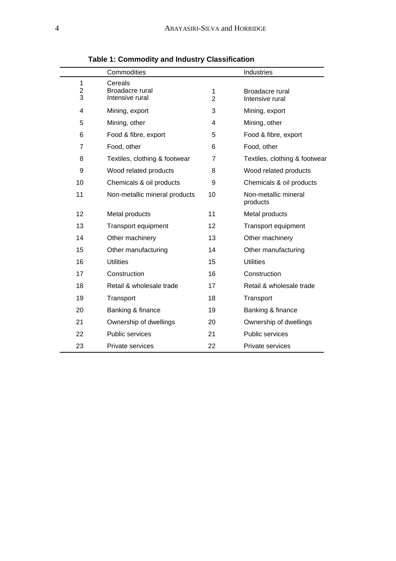|                                     | Commodities                                   |                     | Industries                         |
|-------------------------------------|-----------------------------------------------|---------------------|------------------------------------|
| $\mathbf{1}$<br>$\overline{2}$<br>3 | Cereals<br>Broadacre rural<br>Intensive rural | 1<br>$\overline{2}$ | Broadacre rural<br>Intensive rural |
| 4                                   | Mining, export                                | 3                   | Mining, export                     |
| 5                                   | Mining, other                                 | 4                   | Mining, other                      |
| 6                                   | Food & fibre, export                          | 5                   | Food & fibre, export               |
| 7                                   | Food, other                                   | 6                   | Food, other                        |
| 8                                   | Textiles, clothing & footwear                 | 7                   | Textiles, clothing & footwear      |
| 9                                   | Wood related products                         | 8                   | Wood related products              |
| 10                                  | Chemicals & oil products                      | 9                   | Chemicals & oil products           |
| 11                                  | Non-metallic mineral products                 | 10                  | Non-metallic mineral<br>products   |
| 12                                  | Metal products                                | 11                  | Metal products                     |
| 13                                  | Transport equipment                           | 12                  | Transport equipment                |
| 14                                  | Other machinery                               | 13                  | Other machinery                    |
| 15                                  | Other manufacturing                           | 14                  | Other manufacturing                |
| 16                                  | <b>Utilities</b>                              | 15                  | <b>Utilities</b>                   |
| 17                                  | Construction                                  | 16                  | Construction                       |
| 18                                  | Retail & wholesale trade                      | 17                  | Retail & wholesale trade           |
| 19                                  | Transport                                     | 18                  | Transport                          |
| 20                                  | Banking & finance                             | 19                  | Banking & finance                  |
| 21                                  | Ownership of dwellings                        | 20                  | Ownership of dwellings             |
| 22                                  | <b>Public services</b>                        | 21                  | Public services                    |
| 23                                  | Private services                              | 22                  | Private services                   |

**Table 1: Commodity and Industry Classification**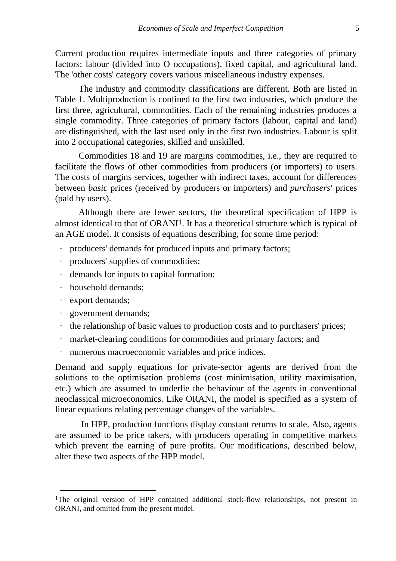Current production requires intermediate inputs and three categories of primary factors: labour (divided into O occupations), fixed capital, and agricultural land. The 'other costs' category covers various miscellaneous industry expenses.

The industry and commodity classifications are different. Both are listed in Table 1. Multiproduction is confined to the first two industries, which produce the first three, agricultural, commodities. Each of the remaining industries produces a single commodity. Three categories of primary factors (labour, capital and land) are distinguished, with the last used only in the first two industries. Labour is split into 2 occupational categories, skilled and unskilled.

Commodities 18 and 19 are margins commodities, i.e., they are required to facilitate the flows of other commodities from producers (or importers) to users. The costs of margins services, together with indirect taxes, account for differences between *basic* prices (received by producers or importers) and *purchasers'* prices (paid by users).

Although there are fewer sectors, the theoretical specification of HPP is almost identical to that of ORANI1. It has a theoretical structure which is typical of an AGE model. It consists of equations describing, for some time period:

- producers' demands for produced inputs and primary factors;
- producers' supplies of commodities;
- · demands for inputs to capital formation;
- · household demands;
- · export demands;

 $\overline{a}$ 

- · government demands;
- · the relationship of basic values to production costs and to purchasers' prices;
- · market-clearing conditions for commodities and primary factors; and
- · numerous macroeconomic variables and price indices.

Demand and supply equations for private-sector agents are derived from the solutions to the optimisation problems (cost minimisation, utility maximisation, etc.) which are assumed to underlie the behaviour of the agents in conventional neoclassical microeconomics. Like ORANI, the model is specified as a system of linear equations relating percentage changes of the variables.

 In HPP, production functions display constant returns to scale. Also, agents are assumed to be price takers, with producers operating in competitive markets which prevent the earning of pure profits. Our modifications, described below, alter these two aspects of the HPP model.

<sup>&</sup>lt;sup>1</sup>The original version of HPP contained additional stock-flow relationships, not present in ORANI, and omitted from the present model.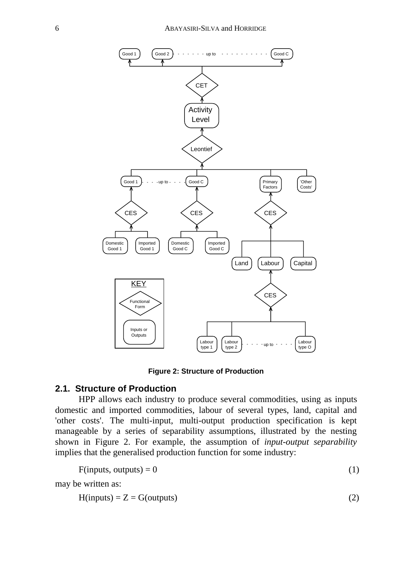

**Figure 2: Structure of Production**

#### **2.1. Structure of Production**

HPP allows each industry to produce several commodities, using as inputs domestic and imported commodities, labour of several types, land, capital and 'other costs'. The multi-input, multi-output production specification is kept manageable by a series of separability assumptions, illustrated by the nesting shown in Figure 2. For example, the assumption of *input-output separability* implies that the generalised production function for some industry:

$$
F(\text{inputs}, \text{outputs}) = 0 \tag{1}
$$

may be written as:

$$
H(\text{inputs}) = Z = G(\text{outputs})\tag{2}
$$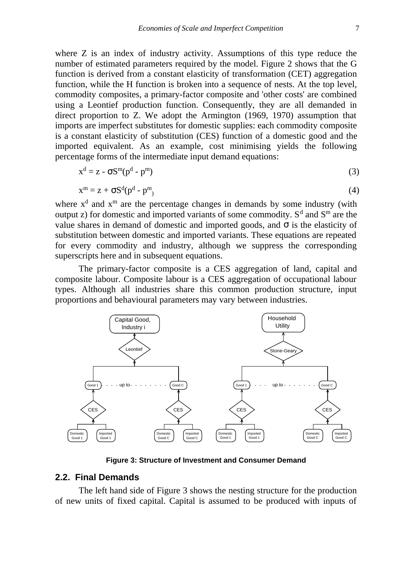where Z is an index of industry activity. Assumptions of this type reduce the number of estimated parameters required by the model. Figure 2 shows that the G function is derived from a constant elasticity of transformation (CET) aggregation function, while the H function is broken into a sequence of nests. At the top level, commodity composites, a primary-factor composite and 'other costs' are combined using a Leontief production function. Consequently, they are all demanded in direct proportion to Z. We adopt the Armington (1969, 1970) assumption that imports are imperfect substitutes for domestic supplies: each commodity composite is a constant elasticity of substitution (CES) function of a domestic good and the imported equivalent. As an example, cost minimising yields the following percentage forms of the intermediate input demand equations:

$$
x^d = z - \sigma S^m (p^d - p^m) \tag{3}
$$

$$
x^m = z + \sigma S^d (p^d - p^m) \tag{4}
$$

where  $x<sup>d</sup>$  and  $x<sup>m</sup>$  are the percentage changes in demands by some industry (with output z) for domestic and imported variants of some commodity.  $S<sup>d</sup>$  and  $S<sup>m</sup>$  are the value shares in demand of domestic and imported goods, and  $\sigma$  is the elasticity of substitution between domestic and imported variants. These equations are repeated for every commodity and industry, although we suppress the corresponding superscripts here and in subsequent equations.

The primary-factor composite is a CES aggregation of land, capital and composite labour. Composite labour is a CES aggregation of occupational labour types. Although all industries share this common production structure, input proportions and behavioural parameters may vary between industries.



**Figure 3: Structure of Investment and Consumer Demand**

#### **2.2. Final Demands**

The left hand side of Figure 3 shows the nesting structure for the production of new units of fixed capital. Capital is assumed to be produced with inputs of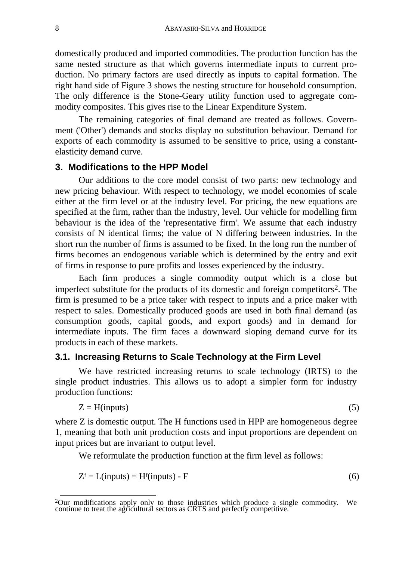domestically produced and imported commodities. The production function has the same nested structure as that which governs intermediate inputs to current production. No primary factors are used directly as inputs to capital formation. The right hand side of Figure 3 shows the nesting structure for household consumption. The only difference is the Stone-Geary utility function used to aggregate commodity composites. This gives rise to the Linear Expenditure System.

The remaining categories of final demand are treated as follows. Government ('Other') demands and stocks display no substitution behaviour. Demand for exports of each commodity is assumed to be sensitive to price, using a constantelasticity demand curve.

## **3. Modifications to the HPP Model**

Our additions to the core model consist of two parts: new technology and new pricing behaviour. With respect to technology, we model economies of scale either at the firm level or at the industry level. For pricing, the new equations are specified at the firm, rather than the industry, level. Our vehicle for modelling firm behaviour is the idea of the 'representative firm'. We assume that each industry consists of N identical firms; the value of N differing between industries. In the short run the number of firms is assumed to be fixed. In the long run the number of firms becomes an endogenous variable which is determined by the entry and exit of firms in response to pure profits and losses experienced by the industry.

Each firm produces a single commodity output which is a close but imperfect substitute for the products of its domestic and foreign competitors2. The firm is presumed to be a price taker with respect to inputs and a price maker with respect to sales. Domestically produced goods are used in both final demand (as consumption goods, capital goods, and export goods) and in demand for intermediate inputs. The firm faces a downward sloping demand curve for its products in each of these markets.

## **3.1. Increasing Returns to Scale Technology at the Firm Level**

We have restricted increasing returns to scale technology (IRTS) to the single product industries. This allows us to adopt a simpler form for industry production functions:

$$
Z = H(\text{inputs})\tag{5}
$$

where Z is domestic output. The H functions used in HPP are homogeneous degree 1, meaning that both unit production costs and input proportions are dependent on input prices but are invariant to output level.

We reformulate the production function at the firm level as follows:

$$
Z^f = L(inputs) = H^f(inputs) - F \tag{6}
$$

 $\overline{a}$ 2Our modifications apply only to those industries which produce a single commodity. We continue to treat the agricultural sectors as CRTS and perfectly competitive.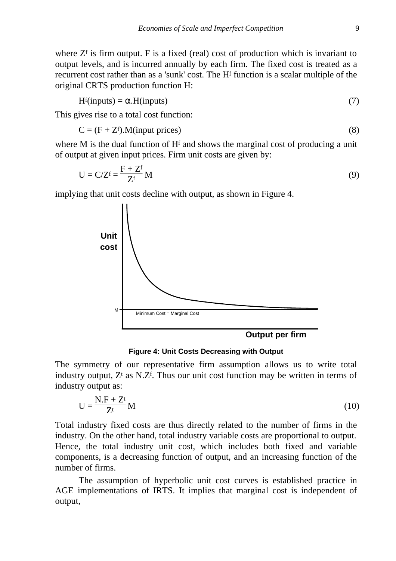where  $Z<sup>f</sup>$  is firm output. F is a fixed (real) cost of production which is invariant to output levels, and is incurred annually by each firm. The fixed cost is treated as a recurrent cost rather than as a 'sunk' cost. The Hf function is a scalar multiple of the original CRTS production function H:

$$
Hf(inputs) = \alpha.H(inputs)
$$
 (7)

This gives rise to a total cost function:

$$
C = (F + Zf). M(input prices)
$$
 (8)

where M is the dual function of H<sup>f</sup> and shows the marginal cost of producing a unit of output at given input prices. Firm unit costs are given by:

$$
U = C/Z^f = \frac{F + Z^f}{Z^f} M
$$
\n(9)

implying that unit costs decline with output, as shown in Figure 4.



**Figure 4: Unit Costs Decreasing with Output**

The symmetry of our representative firm assumption allows us to write total industry output,  $Z^t$  as N. $Z^f$ . Thus our unit cost function may be written in terms of industry output as:

$$
U = \frac{N.F + Z^{t}}{Z^{t}} M
$$
 (10)

Total industry fixed costs are thus directly related to the number of firms in the industry. On the other hand, total industry variable costs are proportional to output. Hence, the total industry unit cost, which includes both fixed and variable components, is a decreasing function of output, and an increasing function of the number of firms.

The assumption of hyperbolic unit cost curves is established practice in AGE implementations of IRTS. It implies that marginal cost is independent of output,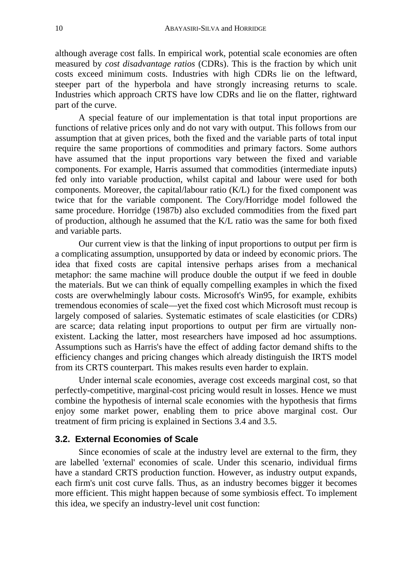although average cost falls. In empirical work, potential scale economies are often measured by *cost disadvantage ratios* (CDRs). This is the fraction by which unit costs exceed minimum costs. Industries with high CDRs lie on the leftward, steeper part of the hyperbola and have strongly increasing returns to scale. Industries which approach CRTS have low CDRs and lie on the flatter, rightward part of the curve.

A special feature of our implementation is that total input proportions are functions of relative prices only and do not vary with output. This follows from our assumption that at given prices, both the fixed and the variable parts of total input require the same proportions of commodities and primary factors. Some authors have assumed that the input proportions vary between the fixed and variable components. For example, Harris assumed that commodities (intermediate inputs) fed only into variable production, whilst capital and labour were used for both components. Moreover, the capital/labour ratio (K/L) for the fixed component was twice that for the variable component. The Cory/Horridge model followed the same procedure. Horridge (1987b) also excluded commodities from the fixed part of production, although he assumed that the K/L ratio was the same for both fixed and variable parts.

Our current view is that the linking of input proportions to output per firm is a complicating assumption, unsupported by data or indeed by economic priors. The idea that fixed costs are capital intensive perhaps arises from a mechanical metaphor: the same machine will produce double the output if we feed in double the materials. But we can think of equally compelling examples in which the fixed costs are overwhelmingly labour costs. Microsoft's Win95, for example, exhibits tremendous economies of scale—yet the fixed cost which Microsoft must recoup is largely composed of salaries. Systematic estimates of scale elasticities (or CDRs) are scarce; data relating input proportions to output per firm are virtually nonexistent. Lacking the latter, most researchers have imposed ad hoc assumptions. Assumptions such as Harris's have the effect of adding factor demand shifts to the efficiency changes and pricing changes which already distinguish the IRTS model from its CRTS counterpart. This makes results even harder to explain.

Under internal scale economies, average cost exceeds marginal cost, so that perfectly-competitive, marginal-cost pricing would result in losses. Hence we must combine the hypothesis of internal scale economies with the hypothesis that firms enjoy some market power, enabling them to price above marginal cost. Our treatment of firm pricing is explained in Sections 3.4 and 3.5.

#### **3.2. External Economies of Scale**

Since economies of scale at the industry level are external to the firm, they are labelled 'external' economies of scale. Under this scenario, individual firms have a standard CRTS production function. However, as industry output expands, each firm's unit cost curve falls. Thus, as an industry becomes bigger it becomes more efficient. This might happen because of some symbiosis effect. To implement this idea, we specify an industry-level unit cost function: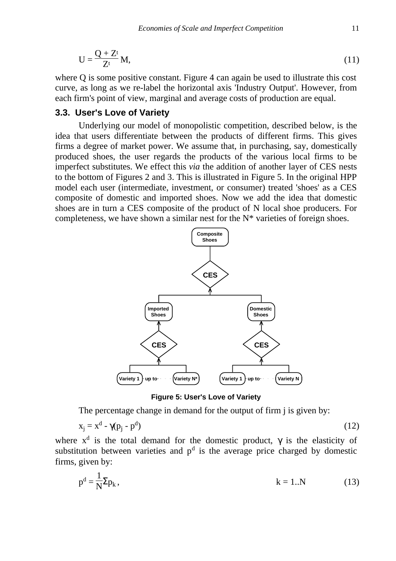$$
U = \frac{Q + Z^t}{Z^t} M,
$$
\n(11)

where O is some positive constant. Figure 4 can again be used to illustrate this cost curve, as long as we re-label the horizontal axis 'Industry Output'. However, from each firm's point of view, marginal and average costs of production are equal.

## **3.3. User's Love of Variety**

Underlying our model of monopolistic competition, described below, is the idea that users differentiate between the products of different firms. This gives firms a degree of market power. We assume that, in purchasing, say, domestically produced shoes, the user regards the products of the various local firms to be imperfect substitutes. We effect this *via* the addition of another layer of CES nests to the bottom of Figures 2 and 3. This is illustrated in Figure 5. In the original HPP model each user (intermediate, investment, or consumer) treated 'shoes' as a CES composite of domestic and imported shoes. Now we add the idea that domestic shoes are in turn a CES composite of the product of N local shoe producers. For completeness, we have shown a similar nest for the  $N^*$  varieties of foreign shoes.



**Figure 5: User's Love of Variety**

The percentage change in demand for the output of firm *j* is given by:

$$
x_j = x^d - \gamma(p_j - p^d) \tag{12}
$$

where  $x<sup>d</sup>$  is the total demand for the domestic product,  $\gamma$  is the elasticity of substitution between varieties and  $p<sup>d</sup>$  is the average price charged by domestic firms, given by:

$$
p^d = \frac{1}{N} \Sigma p_k, \qquad k = 1..N \tag{13}
$$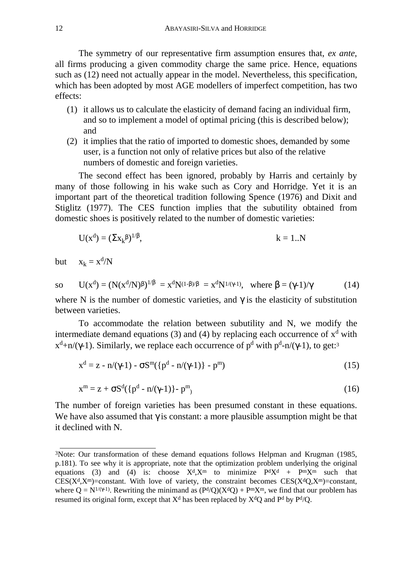The symmetry of our representative firm assumption ensures that, *ex ante*, all firms producing a given commodity charge the same price. Hence, equations such as (12) need not actually appear in the model. Nevertheless, this specification, which has been adopted by most AGE modellers of imperfect competition, has two effects:

- (1) it allows us to calculate the elasticity of demand facing an individual firm, and so to implement a model of optimal pricing (this is described below); and
- (2) it implies that the ratio of imported to domestic shoes, demanded by some user, is a function not only of relative prices but also of the relative numbers of domestic and foreign varieties.

The second effect has been ignored, probably by Harris and certainly by many of those following in his wake such as Cory and Horridge. Yet it is an important part of the theoretical tradition following Spence (1976) and Dixit and Stiglitz (1977). The CES function implies that the subutility obtained from domestic shoes is positively related to the number of domestic varieties:

$$
U(xd) = (\Sigma xk \beta)1/\beta,
$$
 k = 1..N

but  $x_k = x^d/N$ 

so 
$$
U(x^d) = (N(x^d/N)^{\beta})^{1/\beta} = x^d N^{(1-\beta)/\beta} = x^d N^{1/(\gamma-1)}
$$
, where  $\beta = (\gamma-1)/\gamma$  (14)

where N is the number of domestic varieties, and  $\gamma$  is the elasticity of substitution between varieties.

To accommodate the relation between subutility and N, we modify the intermediate demand equations (3) and (4) by replacing each occurrence of  $x<sup>d</sup>$  with  $x^d$ +n/(γ-1). Similarly, we replace each occurrence of  $p^d$  with  $p^d$ -n/(γ-1), to get:<sup>3</sup>

$$
x^{d} = z - n/(\gamma - 1) - \sigma S^{m}(\{p^{d} - n/(\gamma - 1)\} - p^{m})
$$
\n(15)

$$
x^{m} = z + \sigma S^{d}(\{p^{d} - n/(\gamma - 1)\} - p^{m})
$$
\n(16)

The number of foreign varieties has been presumed constant in these equations. We have also assumed that  $\gamma$  is constant: a more plausible assumption might be that it declined with N.

 <sup>3</sup>Note: Our transformation of these demand equations follows Helpman and Krugman (1985, p.181). To see why it is appropriate, note that the optimization problem underlying the original equations (3) and (4) is: choose  $X^d$ ,  $X^m$  to minimize  $P^dX^d$  +  $P^mX^m$  such that CES( $X^d$ , $X^m$ )=constant. With love of variety, the constraint becomes CES( $X^d$ Q, $X^m$ )=constant, where  $Q = N^{1/(\gamma-1)}$ . Rewriting the minimand as  $(P^d/Q)(X^dQ) + P^mX^m$ , we find that our problem has resumed its original form, except that  $X^d$  has been replaced by  $X^dO$  and  $P^d$  by  $P^dO$ .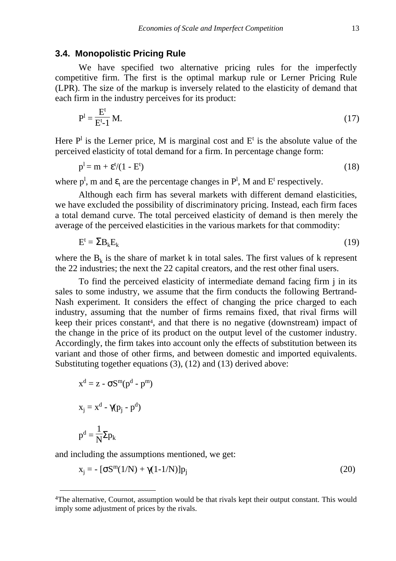#### **3.4. Monopolistic Pricing Rule**

We have specified two alternative pricing rules for the imperfectly competitive firm. The first is the optimal markup rule or Lerner Pricing Rule (LPR). The size of the markup is inversely related to the elasticity of demand that each firm in the industry perceives for its product:

$$
\mathbf{P}^{\mathbf{l}} = \frac{\mathbf{E}^{\mathbf{t}}}{\mathbf{E}^{\mathbf{t}} - \mathbf{1}} \mathbf{M}.
$$
 (17)

Here  $P<sup>1</sup>$  is the Lerner price, M is marginal cost and  $E<sup>t</sup>$  is the absolute value of the perceived elasticity of total demand for a firm. In percentage change form:

$$
p^l = m + \varepsilon^{t}/(1 - E^t) \tag{18}
$$

where  $p^l$ , m and  $\varepsilon_t$  are the percentage changes in  $P^l$ , M and  $E^t$  respectively.

Although each firm has several markets with different demand elasticities, we have excluded the possibility of discriminatory pricing. Instead, each firm faces a total demand curve. The total perceived elasticity of demand is then merely the average of the perceived elasticities in the various markets for that commodity:

$$
E^t = \Sigma B_k E_k \tag{19}
$$

where the  $B_k$  is the share of market k in total sales. The first values of k represent the 22 industries; the next the 22 capital creators, and the rest other final users.

To find the perceived elasticity of intermediate demand facing firm j in its sales to some industry, we assume that the firm conducts the following Bertrand-Nash experiment. It considers the effect of changing the price charged to each industry, assuming that the number of firms remains fixed, that rival firms will keep their prices constant4, and that there is no negative (downstream) impact of the change in the price of its product on the output level of the customer industry. Accordingly, the firm takes into account only the effects of substitution between its variant and those of other firms, and between domestic and imported equivalents. Substituting together equations (3), (12) and (13) derived above:

$$
xd = z - \sigma Sm(pd - pm)
$$

$$
xj = xd - \gamma(pj - pd)
$$

$$
pd = \frac{1}{N} \Sigma pk
$$

 $\overline{a}$ 

and including the assumptions mentioned, we get:

$$
x_j = -\left[\sigma S^m(1/N) + \gamma(1 - 1/N)\right]p_j\tag{20}
$$

<sup>4</sup>The alternative, Cournot, assumption would be that rivals kept their output constant. This would imply some adjustment of prices by the rivals.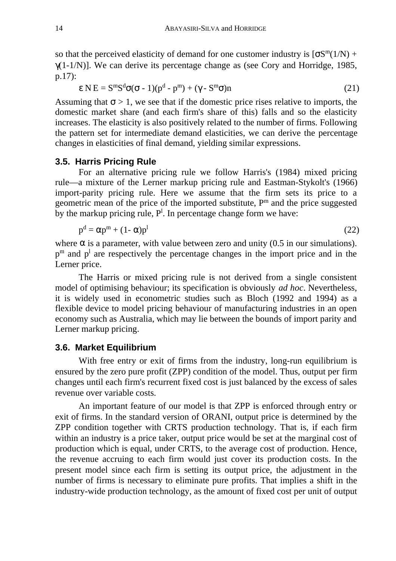so that the perceived elasticity of demand for one customer industry is  $[ $\sigma S^{m}(1/N)$  +$  $\gamma$ (1-1/N)]. We can derive its percentage change as (see Cory and Horridge, 1985, p.17):

 $\mathcal{E} \mathbf{N} \mathbf{E} = \mathbf{S}^{\mathbf{m}} \mathbf{S}^{\mathbf{d}} \boldsymbol{\sigma} (\boldsymbol{\sigma} - 1) (\mathbf{p}^{\mathbf{d}} - \mathbf{p}^{\mathbf{m}}) + (\boldsymbol{\gamma} - \mathbf{S}^{\mathbf{m}} \boldsymbol{\sigma}) \mathbf{n}$  (21)

Assuming that  $\sigma > 1$ , we see that if the domestic price rises relative to imports, the domestic market share (and each firm's share of this) falls and so the elasticity increases. The elasticity is also positively related to the number of firms. Following the pattern set for intermediate demand elasticities, we can derive the percentage changes in elasticities of final demand, yielding similar expressions.

## **3.5. Harris Pricing Rule**

For an alternative pricing rule we follow Harris's (1984) mixed pricing rule—a mixture of the Lerner markup pricing rule and Eastman-Stykolt's (1966) import-parity pricing rule. Here we assume that the firm sets its price to a geometric mean of the price of the imported substitute,  $P<sup>m</sup>$  and the price suggested by the markup pricing rule, P<sup>l</sup>. In percentage change form we have:

$$
p^d = \alpha p^m + (1 - \alpha)p^l \tag{22}
$$

where  $\alpha$  is a parameter, with value between zero and unity (0.5 in our simulations).  $p<sup>m</sup>$  and  $p<sup>l</sup>$  are respectively the percentage changes in the import price and in the Lerner price.

The Harris or mixed pricing rule is not derived from a single consistent model of optimising behaviour; its specification is obviously *ad hoc*. Nevertheless, it is widely used in econometric studies such as Bloch (1992 and 1994) as a flexible device to model pricing behaviour of manufacturing industries in an open economy such as Australia, which may lie between the bounds of import parity and Lerner markup pricing.

# **3.6. Market Equilibrium**

With free entry or exit of firms from the industry, long-run equilibrium is ensured by the zero pure profit (ZPP) condition of the model. Thus, output per firm changes until each firm's recurrent fixed cost is just balanced by the excess of sales revenue over variable costs.

An important feature of our model is that ZPP is enforced through entry or exit of firms. In the standard version of ORANI, output price is determined by the ZPP condition together with CRTS production technology. That is, if each firm within an industry is a price taker, output price would be set at the marginal cost of production which is equal, under CRTS, to the average cost of production. Hence, the revenue accruing to each firm would just cover its production costs. In the present model since each firm is setting its output price, the adjustment in the number of firms is necessary to eliminate pure profits. That implies a shift in the industry-wide production technology, as the amount of fixed cost per unit of output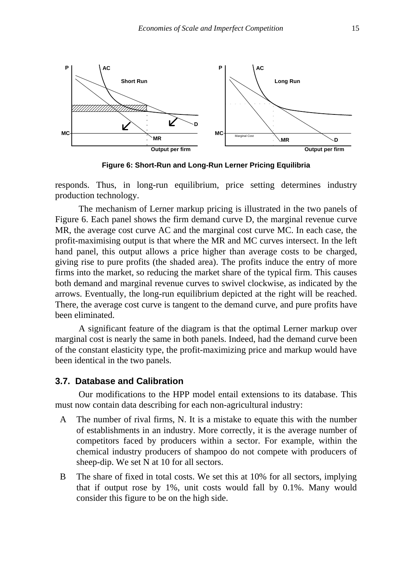

**Figure 6: Short-Run and Long-Run Lerner Pricing Equilibria**

responds. Thus, in long-run equilibrium, price setting determines industry production technology.

The mechanism of Lerner markup pricing is illustrated in the two panels of Figure 6. Each panel shows the firm demand curve D, the marginal revenue curve MR, the average cost curve AC and the marginal cost curve MC. In each case, the profit-maximising output is that where the MR and MC curves intersect. In the left hand panel, this output allows a price higher than average costs to be charged, giving rise to pure profits (the shaded area). The profits induce the entry of more firms into the market, so reducing the market share of the typical firm. This causes both demand and marginal revenue curves to swivel clockwise, as indicated by the arrows. Eventually, the long-run equilibrium depicted at the right will be reached. There, the average cost curve is tangent to the demand curve, and pure profits have been eliminated.

A significant feature of the diagram is that the optimal Lerner markup over marginal cost is nearly the same in both panels. Indeed, had the demand curve been of the constant elasticity type, the profit-maximizing price and markup would have been identical in the two panels.

#### **3.7. Database and Calibration**

Our modifications to the HPP model entail extensions to its database. This must now contain data describing for each non-agricultural industry:

- A The number of rival firms, N. It is a mistake to equate this with the number of establishments in an industry. More correctly, it is the average number of competitors faced by producers within a sector. For example, within the chemical industry producers of shampoo do not compete with producers of sheep-dip. We set N at 10 for all sectors.
- B The share of fixed in total costs. We set this at 10% for all sectors, implying that if output rose by 1%, unit costs would fall by 0.1%. Many would consider this figure to be on the high side.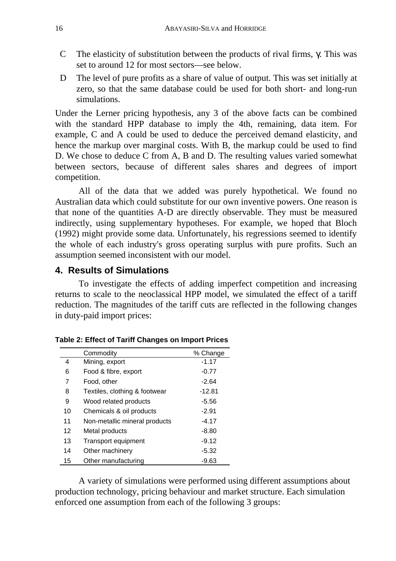- C The elasticity of substitution between the products of rival firms, γ. This was set to around 12 for most sectors—see below.
- D The level of pure profits as a share of value of output. This was set initially at zero, so that the same database could be used for both short- and long-run simulations.

Under the Lerner pricing hypothesis, any 3 of the above facts can be combined with the standard HPP database to imply the 4th, remaining, data item. For example, C and A could be used to deduce the perceived demand elasticity, and hence the markup over marginal costs. With B, the markup could be used to find D. We chose to deduce C from A, B and D. The resulting values varied somewhat between sectors, because of different sales shares and degrees of import competition.

All of the data that we added was purely hypothetical. We found no Australian data which could substitute for our own inventive powers. One reason is that none of the quantities A-D are directly observable. They must be measured indirectly, using supplementary hypotheses. For example, we hoped that Bloch (1992) might provide some data. Unfortunately, his regressions seemed to identify the whole of each industry's gross operating surplus with pure profits. Such an assumption seemed inconsistent with our model.

# **4. Results of Simulations**

To investigate the effects of adding imperfect competition and increasing returns to scale to the neoclassical HPP model, we simulated the effect of a tariff reduction. The magnitudes of the tariff cuts are reflected in the following changes in duty-paid import prices:

|    | Commodity                     | % Change |
|----|-------------------------------|----------|
| 4  | Mining, export                | $-1.17$  |
| 6  | Food & fibre, export          | $-0.77$  |
| 7  | Food, other                   | $-2.64$  |
| 8  | Textiles, clothing & footwear | $-12.81$ |
| 9  | Wood related products         | $-5.56$  |
| 10 | Chemicals & oil products      | $-2.91$  |
| 11 | Non-metallic mineral products | $-4.17$  |
| 12 | Metal products                | $-8.80$  |
| 13 | Transport equipment           | $-9.12$  |
| 14 | Other machinery               | $-5.32$  |
| 15 | Other manufacturing           | -9.63    |

**Table 2: Effect of Tariff Changes on Import Prices**

A variety of simulations were performed using different assumptions about production technology, pricing behaviour and market structure. Each simulation enforced one assumption from each of the following 3 groups: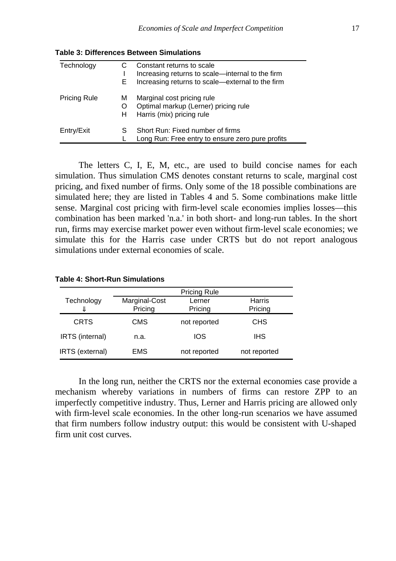| Technology          | Е.          | Constant returns to scale<br>Increasing returns to scale—internal to the firm<br>Increasing returns to scale-external to the firm |
|---------------------|-------------|-----------------------------------------------------------------------------------------------------------------------------------|
| <b>Pricing Rule</b> | м<br>Ő<br>н | Marginal cost pricing rule<br>Optimal markup (Lerner) pricing rule<br>Harris (mix) pricing rule                                   |
| Entry/Exit          | S.          | Short Run: Fixed number of firms<br>Long Run: Free entry to ensure zero pure profits                                              |

**Table 3: Differences Between Simulations**

The letters C, I, E, M, etc., are used to build concise names for each simulation. Thus simulation CMS denotes constant returns to scale, marginal cost pricing, and fixed number of firms. Only some of the 18 possible combinations are simulated here; they are listed in Tables 4 and 5. Some combinations make little sense. Marginal cost pricing with firm-level scale economies implies losses—this combination has been marked 'n.a.' in both short- and long-run tables. In the short run, firms may exercise market power even without firm-level scale economies; we simulate this for the Harris case under CRTS but do not report analogous simulations under external economies of scale.

|                 |                          | <b>Pricing Rule</b> |                   |
|-----------------|--------------------------|---------------------|-------------------|
| Technology      | Marginal-Cost<br>Pricing | Lerner<br>Pricing   | Harris<br>Pricing |
| <b>CRTS</b>     | <b>CMS</b>               | not reported        | <b>CHS</b>        |
| IRTS (internal) | n.a.                     | IOS                 | <b>IHS</b>        |
| IRTS (external) | EMS                      | not reported        | not reported      |

**Table 4: Short-Run Simulations**

In the long run, neither the CRTS nor the external economies case provide a mechanism whereby variations in numbers of firms can restore ZPP to an imperfectly competitive industry. Thus, Lerner and Harris pricing are allowed only with firm-level scale economies. In the other long-run scenarios we have assumed that firm numbers follow industry output: this would be consistent with U-shaped firm unit cost curves.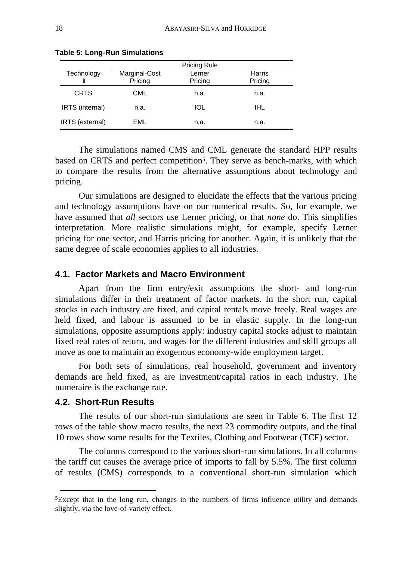|                 | <b>Pricing Rule</b>      |                   |                   |  |  |
|-----------------|--------------------------|-------------------|-------------------|--|--|
| Technology      | Marginal-Cost<br>Pricing | Lerner<br>Pricing | Harris<br>Pricing |  |  |
| <b>CRTS</b>     | <b>CML</b>               | n.a.              | n.a.              |  |  |
| IRTS (internal) | n.a.                     | IOL               | <b>IHL</b>        |  |  |
| IRTS (external) | EML                      | n.a.              | n.a.              |  |  |

**Table 5: Long-Run Simulations**

The simulations named CMS and CML generate the standard HPP results based on CRTS and perfect competition5. They serve as bench-marks, with which to compare the results from the alternative assumptions about technology and pricing.

Our simulations are designed to elucidate the effects that the various pricing and technology assumptions have on our numerical results. So, for example, we have assumed that *all* sectors use Lerner pricing, or that *none* do. This simplifies interpretation. More realistic simulations might, for example, specify Lerner pricing for one sector, and Harris pricing for another. Again, it is unlikely that the same degree of scale economies applies to all industries.

### **4.1. Factor Markets and Macro Environment**

Apart from the firm entry/exit assumptions the short- and long-run simulations differ in their treatment of factor markets. In the short run, capital stocks in each industry are fixed, and capital rentals move freely. Real wages are held fixed, and labour is assumed to be in elastic supply. In the long-run simulations, opposite assumptions apply: industry capital stocks adjust to maintain fixed real rates of return, and wages for the different industries and skill groups all move as one to maintain an exogenous economy-wide employment target.

For both sets of simulations, real household, government and inventory demands are held fixed, as are investment/capital ratios in each industry. The numeraire is the exchange rate.

#### **4.2. Short-Run Results**

 $\overline{a}$ 

The results of our short-run simulations are seen in Table 6. The first 12 rows of the table show macro results, the next 23 commodity outputs, and the final 10 rows show some results for the Textiles, Clothing and Footwear (TCF) sector.

The columns correspond to the various short-run simulations. In all columns the tariff cut causes the average price of imports to fall by 5.5%. The first column of results (CMS) corresponds to a conventional short-run simulation which

<sup>5</sup>Except that in the long run, changes in the numbers of firms influence utility and demands slightly, via the love-of-variety effect.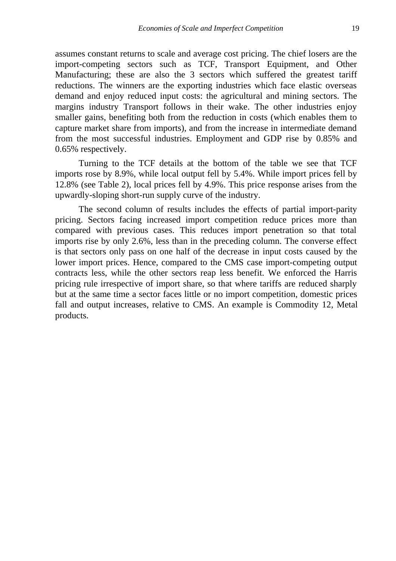assumes constant returns to scale and average cost pricing. The chief losers are the import-competing sectors such as TCF, Transport Equipment, and Other Manufacturing; these are also the 3 sectors which suffered the greatest tariff reductions. The winners are the exporting industries which face elastic overseas demand and enjoy reduced input costs: the agricultural and mining sectors. The margins industry Transport follows in their wake. The other industries enjoy smaller gains, benefiting both from the reduction in costs (which enables them to capture market share from imports), and from the increase in intermediate demand from the most successful industries. Employment and GDP rise by 0.85% and 0.65% respectively.

Turning to the TCF details at the bottom of the table we see that TCF imports rose by 8.9%, while local output fell by 5.4%. While import prices fell by 12.8% (see Table 2), local prices fell by 4.9%. This price response arises from the upwardly-sloping short-run supply curve of the industry.

The second column of results includes the effects of partial import-parity pricing. Sectors facing increased import competition reduce prices more than compared with previous cases. This reduces import penetration so that total imports rise by only 2.6%, less than in the preceding column. The converse effect is that sectors only pass on one half of the decrease in input costs caused by the lower import prices. Hence, compared to the CMS case import-competing output contracts less, while the other sectors reap less benefit. We enforced the Harris pricing rule irrespective of import share, so that where tariffs are reduced sharply but at the same time a sector faces little or no import competition, domestic prices fall and output increases, relative to CMS. An example is Commodity 12, Metal products.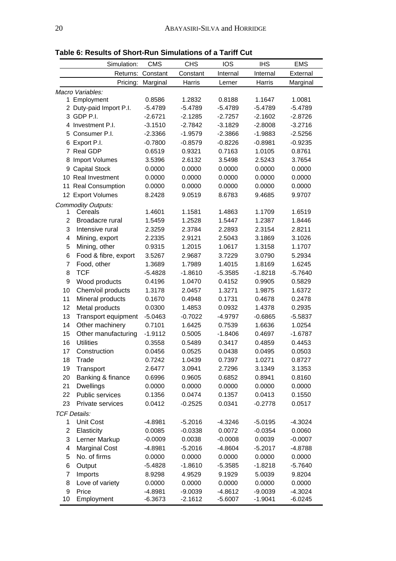| Table 6: Results of Short-Run Simulations of a Tariff Cut |  |  |
|-----------------------------------------------------------|--|--|
|                                                           |  |  |

|                  | Simulation:               | <b>CMS</b>        | <b>CHS</b> | <b>IOS</b> | <b>IHS</b> | <b>EMS</b> |  |  |
|------------------|---------------------------|-------------------|------------|------------|------------|------------|--|--|
|                  |                           | Returns: Constant | Constant   | Internal   | Internal   | External   |  |  |
|                  | Pricing:                  | Marginal          | Harris     | Lerner     | Harris     | Marginal   |  |  |
|                  | Macro Variables:          |                   |            |            |            |            |  |  |
|                  | 1 Employment              | 0.8586            | 1.2832     | 0.8188     | 1.1647     | 1.0081     |  |  |
|                  | 2 Duty-paid Import P.I.   | $-5.4789$         | $-5.4789$  | $-5.4789$  | $-5.4789$  | $-5.4789$  |  |  |
|                  | 3 GDP P.I.                | $-2.6721$         | $-2.1285$  | $-2.7257$  | $-2.1602$  | $-2.8726$  |  |  |
|                  | 4 Investment P.I.         | $-3.1510$         | $-2.7842$  | $-3.1829$  | $-2.8008$  | $-3.2716$  |  |  |
|                  | 5 Consumer P.I.           | $-2.3366$         | $-1.9579$  | $-2.3866$  | $-1.9883$  | $-2.5256$  |  |  |
|                  | 6 Export P.I.             | $-0.7800$         | $-0.8579$  | $-0.8226$  | $-0.8981$  | $-0.9235$  |  |  |
|                  | 7 Real GDP                | 0.6519            | 0.9321     | 0.7163     | 1.0105     | 0.8761     |  |  |
|                  | 8 Import Volumes          | 3.5396            | 2.6132     | 3.5498     | 2.5243     | 3.7654     |  |  |
| 9                | <b>Capital Stock</b>      | 0.0000            | 0.0000     | 0.0000     | 0.0000     | 0.0000     |  |  |
|                  | 10 Real Investment        | 0.0000            | 0.0000     | 0.0000     | 0.0000     | 0.0000     |  |  |
| 11               | <b>Real Consumption</b>   | 0.0000            | 0.0000     | 0.0000     | 0.0000     | 0.0000     |  |  |
|                  | 12 Export Volumes         | 8.2428            | 9.0519     | 8.6783     | 9.4685     | 9.9707     |  |  |
|                  | <b>Commodity Outputs:</b> |                   |            |            |            |            |  |  |
| 1                | Cereals                   | 1.4601            | 1.1581     | 1.4863     | 1.1709     | 1.6519     |  |  |
| 2                | Broadacre rural           | 1.5459            | 1.2528     | 1.5447     | 1.2387     | 1.8446     |  |  |
| 3                | Intensive rural           | 2.3259            | 2.3784     | 2.2893     | 2.3154     | 2.8211     |  |  |
| 4                | Mining, export            | 2.2335            | 2.9121     | 2.5043     | 3.1869     | 3.1026     |  |  |
| 5                | Mining, other             | 0.9315            | 1.2015     | 1.0617     | 1.3158     | 1.1707     |  |  |
| 6                | Food & fibre, export      | 3.5267            | 2.9687     | 3.7229     | 3.0790     | 5.2934     |  |  |
| $\overline{7}$   | Food, other               | 1.3689            | 1.7989     | 1.4015     | 1.8169     | 1.6245     |  |  |
| 8                | <b>TCF</b>                | $-5.4828$         | $-1.8610$  | $-5.3585$  | $-1.8218$  | $-5.7640$  |  |  |
| 9                | Wood products             | 0.4196            | 1.0470     | 0.4152     | 0.9905     | 0.5829     |  |  |
| 10               | Chem/oil products         | 1.3178            | 2.0457     | 1.3271     | 1.9875     | 1.6372     |  |  |
| 11               | Mineral products          | 0.1670            | 0.4948     | 0.1731     | 0.4678     | 0.2478     |  |  |
| 12               | Metal products            | 0.0300            | 1.4853     | 0.0932     | 1.4378     | 0.2935     |  |  |
| 13               | Transport equipment       | $-5.0463$         | $-0.7022$  | $-4.9797$  | $-0.6865$  | $-5.5837$  |  |  |
| 14               | Other machinery           | 0.7101            | 1.6425     | 0.7539     | 1.6636     | 1.0254     |  |  |
| 15               | Other manufacturing       | $-1.9112$         | 0.5005     | $-1.8406$  | 0.4697     | $-1.6787$  |  |  |
| 16               | <b>Utilities</b>          | 0.3558            | 0.5489     | 0.3417     | 0.4859     | 0.4453     |  |  |
| 17               | Construction              | 0.0456            | 0.0525     | 0.0438     | 0.0495     | 0.0503     |  |  |
| 18               | Trade                     | 0.7242            | 1.0439     | 0.7397     | 1.0271     | 0.8727     |  |  |
| 19               | Transport                 | 2.6477            | 3.0941     | 2.7296     | 3.1349     | 3.1353     |  |  |
| 20               | Banking & finance         | 0.6996            | 0.9605     | 0.6852     | 0.8941     | 0.8160     |  |  |
| 21               | <b>Dwellings</b>          | 0.0000            | 0.0000     | 0.0000     | 0.0000     | 0.0000     |  |  |
| 22               | Public services           | 0.1356            | 0.0474     | 0.1357     | 0.0413     | 0.1550     |  |  |
| 23               | Private services          | 0.0412            | $-0.2525$  | 0.0341     | $-0.2778$  | 0.0517     |  |  |
|                  | <b>TCF Details:</b>       |                   |            |            |            |            |  |  |
| 1                | Unit Cost                 | $-4.8981$         | $-5.2016$  | $-4.3246$  | $-5.0195$  | $-4.3024$  |  |  |
| $\overline{2}$   | Elasticity                | 0.0085            | $-0.0338$  | 0.0072     | $-0.0354$  | 0.0060     |  |  |
| 3                | Lerner Markup             | $-0.0009$         | 0.0038     | $-0.0008$  | 0.0039     | $-0.0007$  |  |  |
| 4                | <b>Marginal Cost</b>      | $-4.8981$         | $-5.2016$  | $-4.8604$  | $-5.2017$  | $-4.8788$  |  |  |
| 5                | No. of firms              | 0.0000            | 0.0000     | 0.0000     | 0.0000     | 0.0000     |  |  |
| 6                | Output                    | $-5.4828$         | $-1.8610$  | $-5.3585$  | $-1.8218$  | $-5.7640$  |  |  |
| $\overline{7}$   | Imports                   | 8.9298            | 4.9529     | 9.1929     | 5.0039     | 9.8204     |  |  |
| 8                | Love of variety           | 0.0000            | 0.0000     | 0.0000     | 0.0000     | 0.0000     |  |  |
| $\boldsymbol{9}$ | Price                     | $-4.8981$         | $-9.0039$  | $-4.8612$  | $-9.0039$  | $-4.3024$  |  |  |
| 10               | Employment                | $-6.3673$         | $-2.1612$  | $-5.6007$  | $-1.9041$  | $-6.0245$  |  |  |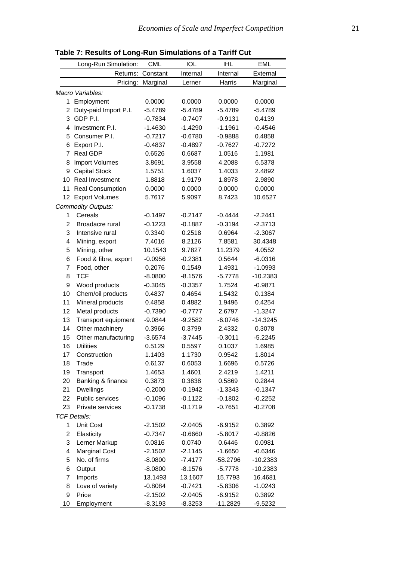| Table 7: Results of Long-Run Simulations of a Tariff Cut |  |  |  |  |
|----------------------------------------------------------|--|--|--|--|
|----------------------------------------------------------|--|--|--|--|

|                | Long-Run Simulation:                 | <b>CML</b>             | <b>IOL</b>             | <b>IHL</b>             | <b>EML</b>          |
|----------------|--------------------------------------|------------------------|------------------------|------------------------|---------------------|
|                | Returns:                             | Constant               | Internal               | Internal               | External            |
|                | Pricing:                             | Marginal               | Lerner                 | Harris                 | Marginal            |
|                | Macro Variables:                     |                        |                        |                        |                     |
| 1              | Employment                           | 0.0000                 | 0.0000                 | 0.0000                 | 0.0000              |
| 2              | Duty-paid Import P.I.                | $-5.4789$              | $-5.4789$              | $-5.4789$              | $-5.4789$           |
| 3              | GDP P.I.                             | $-0.7834$              | $-0.7407$              | $-0.9131$              | 0.4139              |
| 4              | Investment P.I.                      | $-1.4630$              | $-1.4290$              | $-1.1961$              | $-0.4546$           |
| 5              | Consumer P.I.                        | $-0.7217$              | $-0.6780$              | $-0.9888$              | 0.4858              |
| 6              | Export P.I.                          | $-0.4837$              | $-0.4897$              | $-0.7627$              | $-0.7272$           |
| 7              | <b>Real GDP</b>                      | 0.6526                 | 0.6687                 | 1.0516                 | 1.1981              |
| 8              | <b>Import Volumes</b>                | 3.8691                 | 3.9558                 | 4.2088                 | 6.5378              |
| 9              | <b>Capital Stock</b>                 | 1.5751                 | 1.6037                 | 1.4033                 | 2.4892              |
| 10             | Real Investment                      | 1.8818                 | 1.9179                 | 1.8978                 | 2.9890              |
| 11             | <b>Real Consumption</b>              | 0.0000                 | 0.0000                 | 0.0000                 | 0.0000              |
| 12             | <b>Export Volumes</b>                | 5.7617                 | 5.9097                 | 8.7423                 | 10.6527             |
|                | <b>Commodity Outputs:</b>            |                        |                        |                        |                     |
| 1              | Cereals                              | $-0.1497$              | $-0.2147$              | $-0.4444$              | $-2.2441$           |
| $\overline{2}$ | Broadacre rural                      | $-0.1223$              | $-0.1887$              | $-0.3194$              | $-2.3713$           |
| 3              | Intensive rural                      | 0.3340                 | 0.2518                 | 0.6964                 | $-2.3067$           |
| 4              | Mining, export                       | 7.4016                 | 8.2126                 | 7.8581                 | 30.4348             |
| 5              | Mining, other                        | 10.1543                | 9.7827                 | 11.2379                | 4.0552              |
| 6              | Food & fibre, export                 | $-0.0956$              | $-0.2381$              | 0.5644                 | $-6.0316$           |
| $\overline{7}$ | Food, other                          | 0.2076                 | 0.1549                 | 1.4931                 | $-1.0993$           |
| 8              | <b>TCF</b>                           | $-8.0800$              | $-8.1576$              | $-5.7778$              | $-10.2383$          |
| 9              | Wood products                        | $-0.3045$              | $-0.3357$              | 1.7524                 | $-0.9871$           |
| 10             | Chem/oil products                    | 0.4837                 | 0.4654                 | 1.5432                 | 0.1384              |
| 11             | Mineral products                     | 0.4858                 | 0.4882                 | 1.9496                 | 0.4254              |
| 12             | Metal products                       | $-0.7390$              | $-0.7777$              | 2.6797                 | $-1.3247$           |
| 13             | Transport equipment                  | $-9.0844$              | $-9.2582$              | $-6.0746$              | $-14.3245$          |
| 14             | Other machinery                      | 0.3966                 | 0.3799                 | 2.4332                 | 0.3078              |
| 15             | Other manufacturing                  | $-3.6574$              | $-3.7445$              | $-0.3011$              | $-5.2245$           |
| 16             | <b>Utilities</b>                     | 0.5129                 | 0.5597                 | 0.1037                 | 1.6985              |
| 17             | Construction                         | 1.1403                 | 1.1730                 | 0.9542                 | 1.8014              |
| 18             | Trade                                | 0.6137                 | 0.6053                 | 1.6696                 | 0.5726              |
| 19             | Transport                            | 1.4653                 | 1.4601                 | 2.4219                 | 1.4211              |
| 20             | Banking & finance                    | 0.3873                 | 0.3838                 | 0.5869                 | 0.2844              |
| 21             | Dwellings                            | $-0.2000$              | $-0.1942$              | $-1.3343$              | $-0.1347$           |
| 22             | Public services                      | $-0.1096$              | $-0.1122$              | $-0.1802$              | $-0.2252$           |
| 23             | Private services                     | $-0.1738$              | $-0.1719$              | $-0.7651$              | $-0.2708$           |
|                | <b>TCF Details:</b>                  |                        |                        |                        |                     |
| 1              | Unit Cost                            | $-2.1502$              | -2.0405                | $-6.9152$              | 0.3892              |
| 2              | Elasticity                           | $-0.7347$              | $-0.6660$              | $-5.8017$              | $-0.8826$           |
| 3              | Lerner Markup                        | 0.0816                 | 0.0740                 | 0.6446                 | 0.0981              |
| 4              | <b>Marginal Cost</b><br>No. of firms | $-2.1502$              | $-2.1145$              | $-1.6650$              | $-0.6346$           |
| 5              |                                      | $-8.0800$              | $-7.4177$              | -58.2796               | $-10.2383$          |
| 6              | Output                               | $-8.0800$              | $-8.1576$              | $-5.7778$              | $-10.2383$          |
| $\overline{7}$ | Imports                              | 13.1493                | 13.1607                | 15.7793                | 16.4681             |
| 8<br>9         | Love of variety<br>Price             | $-0.8084$<br>$-2.1502$ | $-0.7421$<br>$-2.0405$ | $-5.8306$<br>$-6.9152$ | $-1.0243$<br>0.3892 |
| 10             | Employment                           | $-8.3193$              | $-8.3253$              | $-11.2829$             | $-9.5232$           |
|                |                                      |                        |                        |                        |                     |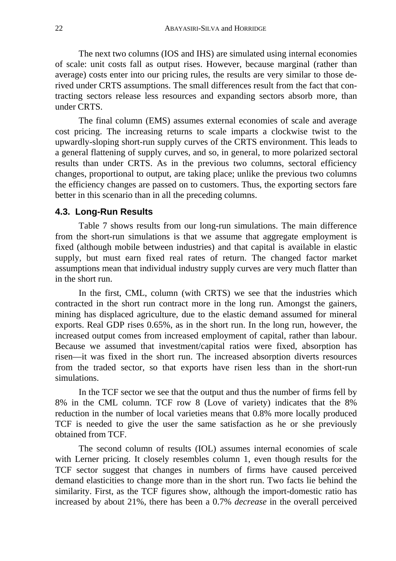The next two columns (IOS and IHS) are simulated using internal economies of scale: unit costs fall as output rises. However, because marginal (rather than average) costs enter into our pricing rules, the results are very similar to those derived under CRTS assumptions. The small differences result from the fact that contracting sectors release less resources and expanding sectors absorb more, than under CRTS.

The final column (EMS) assumes external economies of scale and average cost pricing. The increasing returns to scale imparts a clockwise twist to the upwardly-sloping short-run supply curves of the CRTS environment. This leads to a general flattening of supply curves, and so, in general, to more polarized sectoral results than under CRTS. As in the previous two columns, sectoral efficiency changes, proportional to output, are taking place; unlike the previous two columns the efficiency changes are passed on to customers. Thus, the exporting sectors fare better in this scenario than in all the preceding columns.

#### **4.3. Long-Run Results**

Table 7 shows results from our long-run simulations. The main difference from the short-run simulations is that we assume that aggregate employment is fixed (although mobile between industries) and that capital is available in elastic supply, but must earn fixed real rates of return. The changed factor market assumptions mean that individual industry supply curves are very much flatter than in the short run.

In the first, CML, column (with CRTS) we see that the industries which contracted in the short run contract more in the long run. Amongst the gainers, mining has displaced agriculture, due to the elastic demand assumed for mineral exports. Real GDP rises 0.65%, as in the short run. In the long run, however, the increased output comes from increased employment of capital, rather than labour. Because we assumed that investment/capital ratios were fixed, absorption has risen—it was fixed in the short run. The increased absorption diverts resources from the traded sector, so that exports have risen less than in the short-run simulations.

In the TCF sector we see that the output and thus the number of firms fell by 8% in the CML column. TCF row 8 (Love of variety) indicates that the 8% reduction in the number of local varieties means that 0.8% more locally produced TCF is needed to give the user the same satisfaction as he or she previously obtained from TCF.

The second column of results (IOL) assumes internal economies of scale with Lerner pricing. It closely resembles column 1, even though results for the TCF sector suggest that changes in numbers of firms have caused perceived demand elasticities to change more than in the short run. Two facts lie behind the similarity. First, as the TCF figures show, although the import-domestic ratio has increased by about 21%, there has been a 0.7% *decrease* in the overall perceived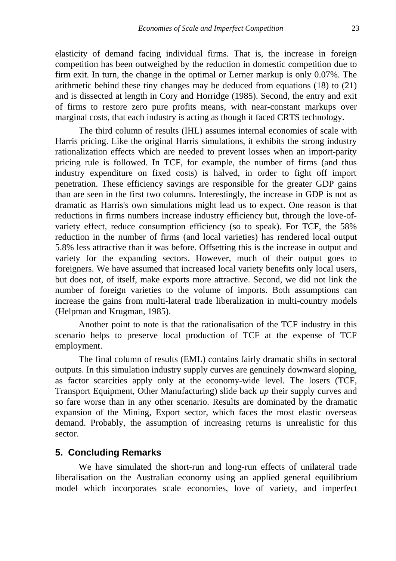elasticity of demand facing individual firms. That is, the increase in foreign competition has been outweighed by the reduction in domestic competition due to firm exit. In turn, the change in the optimal or Lerner markup is only 0.07%. The arithmetic behind these tiny changes may be deduced from equations (18) to (21) and is dissected at length in Cory and Horridge (1985). Second, the entry and exit of firms to restore zero pure profits means, with near-constant markups over marginal costs, that each industry is acting as though it faced CRTS technology.

The third column of results (IHL) assumes internal economies of scale with Harris pricing. Like the original Harris simulations, it exhibits the strong industry rationalization effects which are needed to prevent losses when an import-parity pricing rule is followed. In TCF, for example, the number of firms (and thus industry expenditure on fixed costs) is halved, in order to fight off import penetration. These efficiency savings are responsible for the greater GDP gains than are seen in the first two columns. Interestingly, the increase in GDP is not as dramatic as Harris's own simulations might lead us to expect. One reason is that reductions in firms numbers increase industry efficiency but, through the love-ofvariety effect, reduce consumption efficiency (so to speak). For TCF, the 58% reduction in the number of firms (and local varieties) has rendered local output 5.8% less attractive than it was before. Offsetting this is the increase in output and variety for the expanding sectors. However, much of their output goes to foreigners. We have assumed that increased local variety benefits only local users, but does not, of itself, make exports more attractive. Second, we did not link the number of foreign varieties to the volume of imports. Both assumptions can increase the gains from multi-lateral trade liberalization in multi-country models (Helpman and Krugman, 1985).

Another point to note is that the rationalisation of the TCF industry in this scenario helps to preserve local production of TCF at the expense of TCF employment.

The final column of results (EML) contains fairly dramatic shifts in sectoral outputs. In this simulation industry supply curves are genuinely downward sloping, as factor scarcities apply only at the economy-wide level. The losers (TCF, Transport Equipment, Other Manufacturing) slide back *up* their supply curves and so fare worse than in any other scenario. Results are dominated by the dramatic expansion of the Mining, Export sector, which faces the most elastic overseas demand. Probably, the assumption of increasing returns is unrealistic for this sector.

## **5. Concluding Remarks**

We have simulated the short-run and long-run effects of unilateral trade liberalisation on the Australian economy using an applied general equilibrium model which incorporates scale economies, love of variety, and imperfect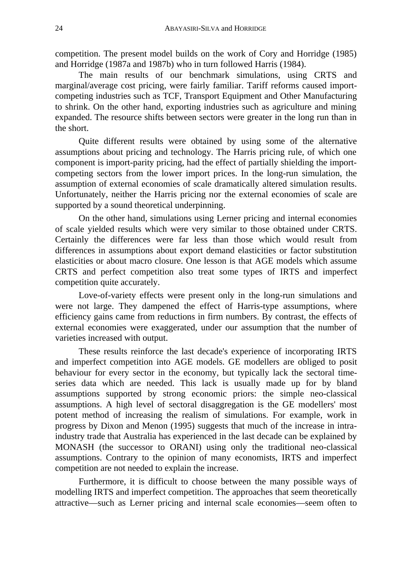competition. The present model builds on the work of Cory and Horridge (1985) and Horridge (1987a and 1987b) who in turn followed Harris (1984).

The main results of our benchmark simulations, using CRTS and marginal/average cost pricing, were fairly familiar. Tariff reforms caused importcompeting industries such as TCF, Transport Equipment and Other Manufacturing to shrink. On the other hand, exporting industries such as agriculture and mining expanded. The resource shifts between sectors were greater in the long run than in the short.

Quite different results were obtained by using some of the alternative assumptions about pricing and technology. The Harris pricing rule, of which one component is import-parity pricing, had the effect of partially shielding the importcompeting sectors from the lower import prices. In the long-run simulation, the assumption of external economies of scale dramatically altered simulation results. Unfortunately, neither the Harris pricing nor the external economies of scale are supported by a sound theoretical underpinning.

On the other hand, simulations using Lerner pricing and internal economies of scale yielded results which were very similar to those obtained under CRTS. Certainly the differences were far less than those which would result from differences in assumptions about export demand elasticities or factor substitution elasticities or about macro closure. One lesson is that AGE models which assume CRTS and perfect competition also treat some types of IRTS and imperfect competition quite accurately.

Love-of-variety effects were present only in the long-run simulations and were not large. They dampened the effect of Harris-type assumptions, where efficiency gains came from reductions in firm numbers. By contrast, the effects of external economies were exaggerated, under our assumption that the number of varieties increased with output.

These results reinforce the last decade's experience of incorporating IRTS and imperfect competition into AGE models. GE modellers are obliged to posit behaviour for every sector in the economy, but typically lack the sectoral timeseries data which are needed. This lack is usually made up for by bland assumptions supported by strong economic priors: the simple neo-classical assumptions. A high level of sectoral disaggregation is the GE modellers' most potent method of increasing the realism of simulations. For example, work in progress by Dixon and Menon (1995) suggests that much of the increase in intraindustry trade that Australia has experienced in the last decade can be explained by MONASH (the successor to ORANI) using only the traditional neo-classical assumptions. Contrary to the opinion of many economists, IRTS and imperfect competition are not needed to explain the increase.

Furthermore, it is difficult to choose between the many possible ways of modelling IRTS and imperfect competition. The approaches that seem theoretically attractive—such as Lerner pricing and internal scale economies—seem often to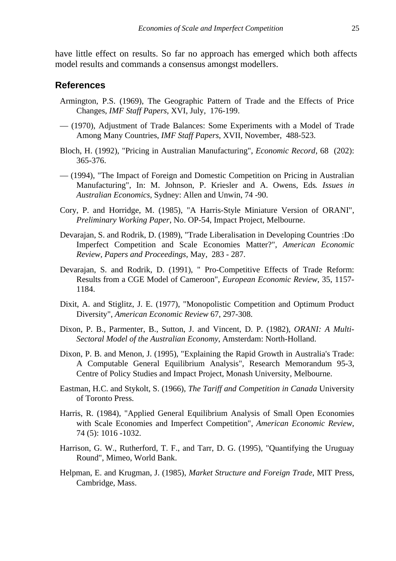have little effect on results. So far no approach has emerged which both affects model results and commands a consensus amongst modellers.

#### **References**

- Armington, P.S. (1969), The Geographic Pattern of Trade and the Effects of Price Changes, *IMF Staff Papers*, XVI, July, 176-199.
- (1970), Adjustment of Trade Balances: Some Experiments with a Model of Trade Among Many Countries, *IMF Staff Papers*, XVII, November, 488-523.
- Bloch, H. (1992), "Pricing in Australian Manufacturing", *Economic Record*, 68 (202): 365-376.
- (1994), "The Impact of Foreign and Domestic Competition on Pricing in Australian Manufacturing", In: M. Johnson, P. Kriesler and A. Owens, Eds*. Issues in Australian Economics*, Sydney: Allen and Unwin, 74 -90.
- Cory, P. and Horridge, M. (1985), "A Harris-Style Miniature Version of ORANI", *Preliminary Working Paper*, No. OP-54, Impact Project, Melbourne.
- Devarajan, S. and Rodrik, D. (1989), "Trade Liberalisation in Developing Countries :Do Imperfect Competition and Scale Economies Matter?", *American Economic Review, Papers and Proceedings*, May, 283 - 287.
- Devarajan, S. and Rodrik, D. (1991), " Pro-Competitive Effects of Trade Reform: Results from a CGE Model of Cameroon", *European Economic Review*, 35, 1157- 1184.
- Dixit, A. and Stiglitz, J. E. (1977), "Monopolistic Competition and Optimum Product Diversity", *American Economic Review* 67, 297-308.
- Dixon, P. B., Parmenter, B., Sutton, J. and Vincent, D. P. (1982), *ORANI: A Multi-Sectoral Model of the Australian Economy*, Amsterdam: North-Holland.
- Dixon, P. B. and Menon, J. (1995), "Explaining the Rapid Growth in Australia's Trade: A Computable General Equilibrium Analysis", Research Memorandum 95-3, Centre of Policy Studies and Impact Project, Monash University, Melbourne.
- Eastman, H.C. and Stykolt, S. (1966), *The Tariff and Competition in Canada* University of Toronto Press.
- Harris, R. (1984), "Applied General Equilibrium Analysis of Small Open Economies with Scale Economies and Imperfect Competition", *American Economic Review*, 74 (5): 1016 -1032.
- Harrison, G. W., Rutherford, T. F., and Tarr, D. G. (1995), "Quantifying the Uruguay Round", Mimeo, World Bank.
- Helpman, E. and Krugman, J. (1985), *Market Structure and Foreign Trade*, MIT Press, Cambridge, Mass.